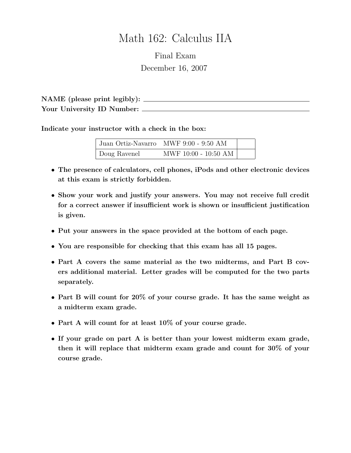# Math 162: Calculus IIA

Final Exam December 16, 2007

NAME (please print legibly): Your University ID Number:

Indicate your instructor with a check in the box:

|              | Juan Ortiz-Navarro MWF 9:00 - 9:50 AM |  |
|--------------|---------------------------------------|--|
| Doug Ravenel | MWF 10:00 - 10:50 AM $^\circ$         |  |

- The presence of calculators, cell phones, iPods and other electronic devices at this exam is strictly forbidden.
- Show your work and justify your answers. You may not receive full credit for a correct answer if insufficient work is shown or insufficient justification is given.
- Put your answers in the space provided at the bottom of each page.
- You are responsible for checking that this exam has all 15 pages.
- Part A covers the same material as the two midterms, and Part B covers additional material. Letter grades will be computed for the two parts separately.
- Part B will count for 20% of your course grade. It has the same weight as a midterm exam grade.
- Part A will count for at least 10% of your course grade.
- If your grade on part A is better than your lowest midterm exam grade, then it will replace that midterm exam grade and count for 30% of your course grade.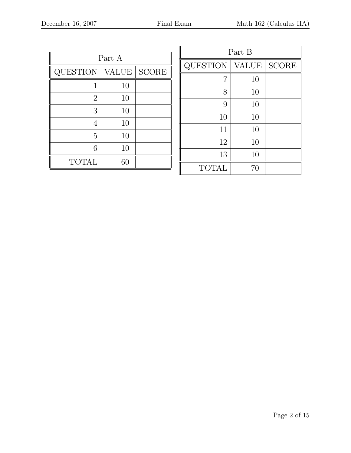| Part A         |              |              |  |
|----------------|--------------|--------------|--|
| QUESTION       | <b>VALUE</b> | <b>SCORE</b> |  |
| 1              | 10           |              |  |
| $\overline{2}$ | 10           |              |  |
| 3              | 10           |              |  |
| 4              | 10           |              |  |
| 5              | 10           |              |  |
| 6              | 10           |              |  |
| <b>TOTAL</b>   | 60           |              |  |

| Part B          |              |              |  |  |
|-----------------|--------------|--------------|--|--|
| <b>QUESTION</b> | <b>VALUE</b> | <b>SCORE</b> |  |  |
| 7               | 10           |              |  |  |
| 8               | 10           |              |  |  |
| 9               | 10           |              |  |  |
| 10              | 10           |              |  |  |
| 11              | 10           |              |  |  |
| 12              | 10           |              |  |  |
| 13              | 10           |              |  |  |
| <b>TOTAL</b>    | 70           |              |  |  |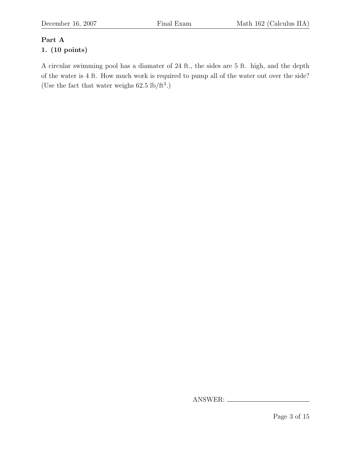# Part A

## 1. (10 points)

A circular swimming pool has a diamater of 24 ft., the sides are 5 ft. high, and the depth of the water is 4 ft. How much work is required to pump all of the water out over the side? (Use the fact that water weighs  $62.5 \text{ lb/ft}^3$ .)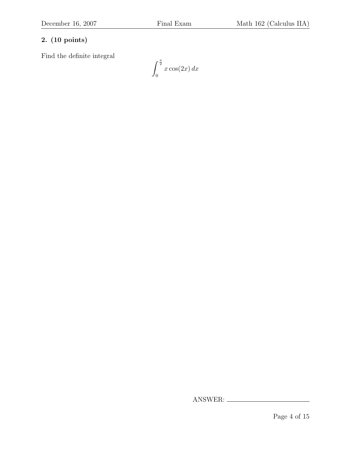Find the definite integral

 $\int_0^{\frac{\pi}{2}}$ 0  $x\cos(2x) dx$ 

Page 4 of 15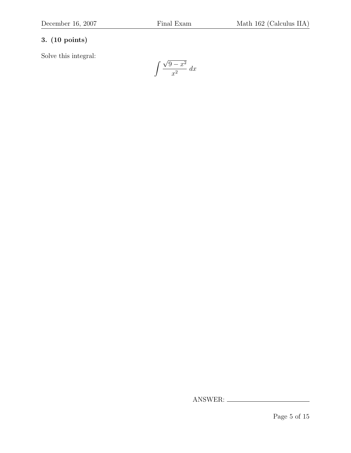Solve this integral:

$$
\int \frac{\sqrt{9-x^2}}{x^2} \, dx
$$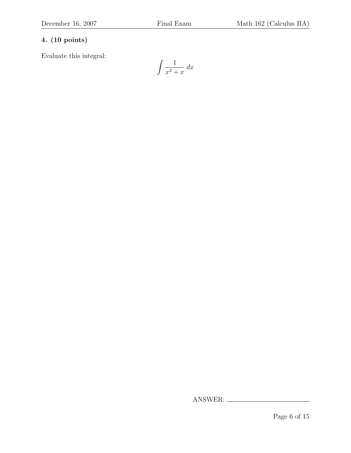Evaluate this integral:

$$
\int \frac{1}{x^2 + x} \, dx
$$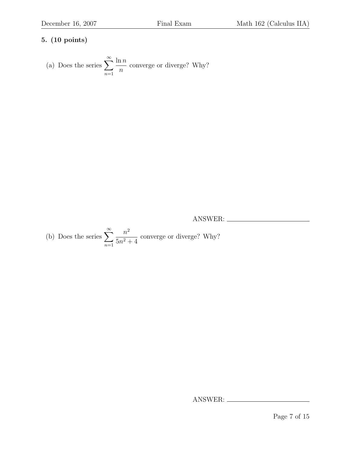(a) Does the series 
$$
\sum_{n=1}^{\infty} \frac{\ln n}{n}
$$
 converge or diverge? Why?

ANSWER:

(b) Does the series 
$$
\sum_{n=1}^{\infty} \frac{n^2}{5n^2 + 4}
$$
 converge or diverge? Why?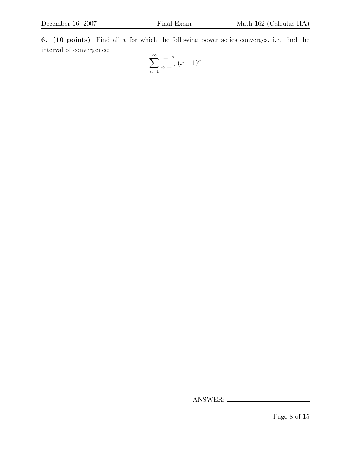6. (10 points) Find all  $x$  for which the following power series converges, i.e. find the interval of convergence:

$$
\sum_{n=1}^{\infty} \frac{-1^n}{n+1} (x+1)^n
$$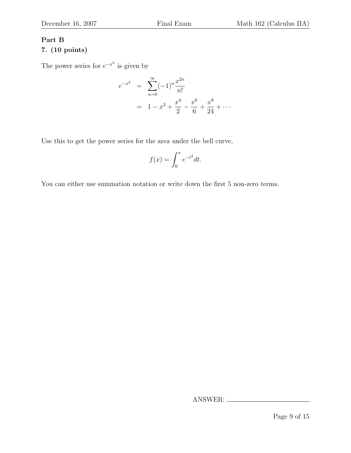### Part B 7. (10 points)

The power series for  $e^{-x^2}$  is given by

$$
e^{-x^2} = \sum_{n=0}^{\infty} (-1)^n \frac{x^{2n}}{n!}
$$
  
=  $1 - x^2 + \frac{x^4}{2} - \frac{x^6}{6} + \frac{x^8}{24} + \cdots$ 

Use this to get the power series for the area under the bell curve,

$$
f(x) = \int_0^x e^{-t^2} dt.
$$

You can either use summation notation or write down the first 5 non-zero terms.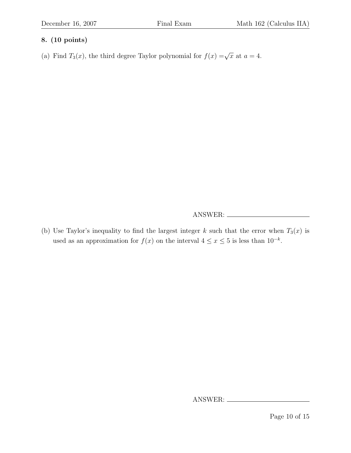(a) Find  $T_3(x)$ , the third degree Taylor polynomial for  $f(x) = \sqrt{x}$  at  $a = 4$ .

ANSWER:

(b) Use Taylor's inequality to find the largest integer k such that the error when  $T_3(x)$  is used as an approximation for  $f(x)$  on the interval  $4 \leq x \leq 5$  is less than  $10^{-k}$ .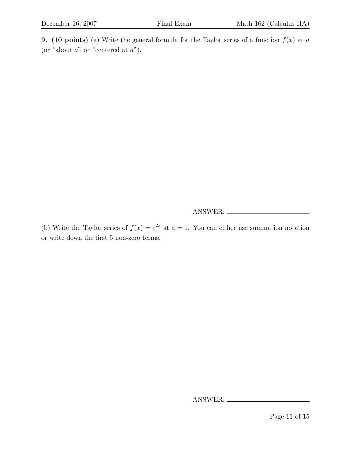**9.** (10 points) (a) Write the general formula for the Taylor series of a function  $f(x)$  at a (or "about  $a$ " or "centered at  $a$ ").

ANSWER:

(b) Write the Taylor series of  $f(x) = e^{2x}$  at  $a = 1$ . You can either use summation notation or write down the first 5 non-zero terms.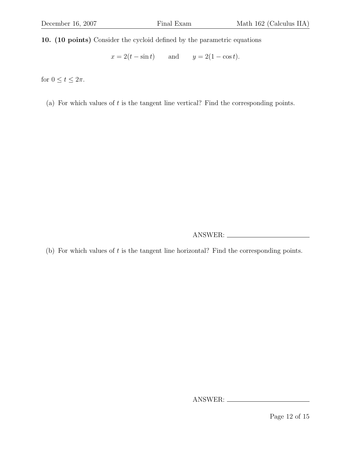10. (10 points) Consider the cycloid defined by the parametric equations

 $x = 2(t - \sin t)$  and  $y = 2(1 - \cos t)$ .

for  $0 \le t \le 2\pi$ .

(a) For which values of  $t$  is the tangent line vertical? Find the corresponding points.

ANSWER:

(b) For which values of  $t$  is the tangent line horizontal? Find the corresponding points.

ANSWER:

Page 12 of 15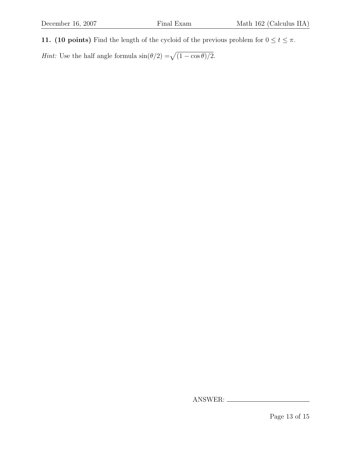11. (10 points) Find the length of the cycloid of the previous problem for  $0 \le t \le \pi$ .

*Hint*: Use the half angle formula  $\sin(\theta/2) = \sqrt{(1 - \cos \theta)/2}$ .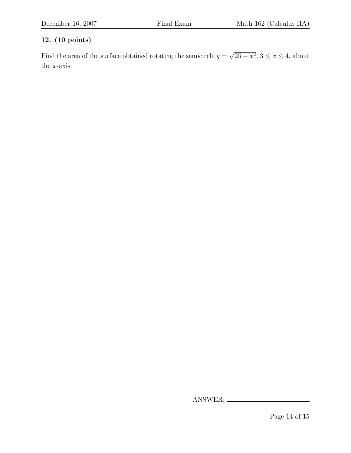Find the area of the surface obtained rotating the semicircle  $y =$ √  $25 - x^2$ ,  $3 \le x \le 4$ , about the  $x$ -axis.

Page 14 of 15